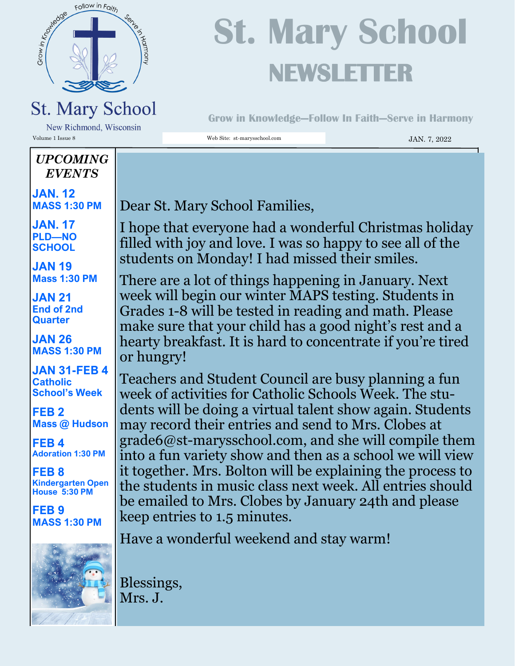

# **St. Mary School NEWSLETTER**

**Grow in Knowledge—Follow In Faith—Serve in Harmony**

New Richmond, Wisconsin Volume 1 Issue 8 Web Site: st-marysschool.com JAN. 7, 2022

#### *UPCOMING EVENTS*

**JAN. 12 MASS 1:30 PM**

**JAN. 17 PLD—NO SCHOOL**

**JAN 19 Mass 1:30 PM**

**JAN 21 End of 2nd Quarter**

**JAN 26 MASS 1:30 PM**

**JAN 31-FEB 4 Catholic School's Week**

**FEB 2 Mass @ Hudson**

**FEB 4 Adoration 1:30 PM**

**FEB 8 Kindergarten Open House 5:30 PM**

**FEB 9 MASS 1:30 PM**



Dear St. Mary School Families,

I hope that everyone had a wonderful Christmas holiday filled with joy and love. I was so happy to see all of the students on Monday! I had missed their smiles.

There are a lot of things happening in January. Next week will begin our winter MAPS testing. Students in Grades 1-8 will be tested in reading and math. Please make sure that your child has a good night's rest and a hearty breakfast. It is hard to concentrate if you're tired or hungry!

Teachers and Student Council are busy planning a fun week of activities for Catholic Schools Week. The students will be doing a virtual talent show again. Students may record their entries and send to Mrs. Clobes at grade6@st-marysschool.com, and she will compile them into a fun variety show and then as a school we will view it together. Mrs. Bolton will be explaining the process to the students in music class next week. All entries should be emailed to Mrs. Clobes by January 24th and please keep entries to 1.5 minutes.

Have a wonderful weekend and stay warm!

Blessings, Mrs. J.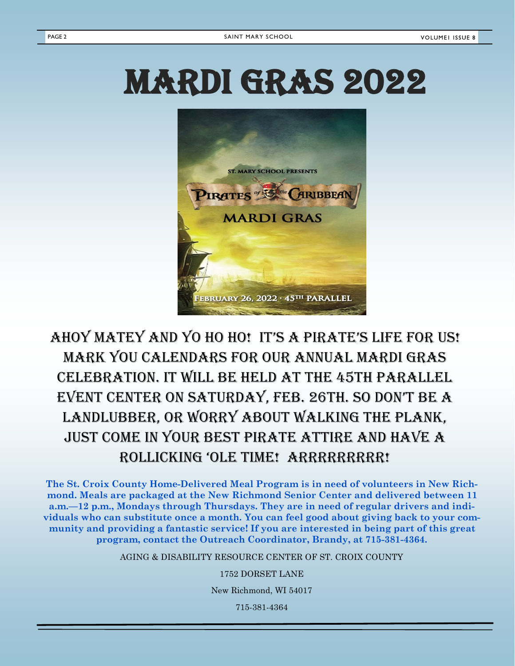# MARDI GRAS 2022



### AHOY MATEY AND YO HO HO! IT'S A PIRATE'S LIFE FOR US! Mark you calendars for our annual Mardi Gras celebration. It will be held at the 45th Parallel event Center on sAturdAy, feb. 26th. so don't be A landlubber, or worry about walking the plank, just come in your best Pirate Attire and have a roLLICkIng 'oLe tIMe! Arrrrrrrrr!

**The St. Croix County Home-Delivered Meal Program is in need of volunteers in New Richmond. Meals are packaged at the New Richmond Senior Center and delivered between 11 a.m.—12 p.m., Mondays through Thursdays. They are in need of regular drivers and individuals who can substitute once a month. You can feel good about giving back to your community and providing a fantastic service! If you are interested in being part of this great program, contact the Outreach Coordinator, Brandy, at 715-381-4364.** 

AGING & DISABILITY RESOURCE CENTER OF ST. CROIX COUNTY

1752 DORSET LANE

New Richmond, WI 54017

715-381-4364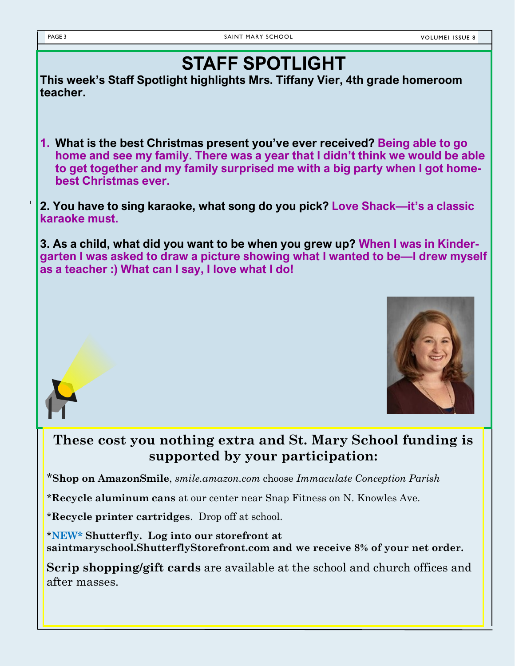### **STAFF SPOTLIGHT**

**This week's Staff Spotlight highlights Mrs. Tiffany Vier, 4th grade homeroom teacher.**

**1. What is the best Christmas present you've ever received? Being able to go home and see my family. There was a year that I didn't think we would be able to get together and my family surprised me with a big party when I got homebest Christmas ever.** 

**2. You have to sing karaoke, what song do you pick? Love Shack—it's a classic karaoke must.**

**3. As a child, what did you want to be when you grew up? When I was in Kindergarten I was asked to draw a picture showing what I wanted to be—I drew myself as a teacher :) What can I say, I love what I do!**





#### **These cost you nothing extra and St. Mary School funding is supported by your participation:**

\***Shop on AmazonSmile**, *smile.amazon.com* choose *Immaculate Conception Parish*

*\****Recycle aluminum cans** at our center near Snap Fitness on N. Knowles Ave.

\***Recycle printer cartridges**. Drop off at school.

\***NEW\* Shutterfly. Log into our storefront at saintmaryschool.ShutterflyStorefront.com and we receive 8% of your net order.**

**Scrip shopping/gift cards** are available at the school and church offices and after masses.